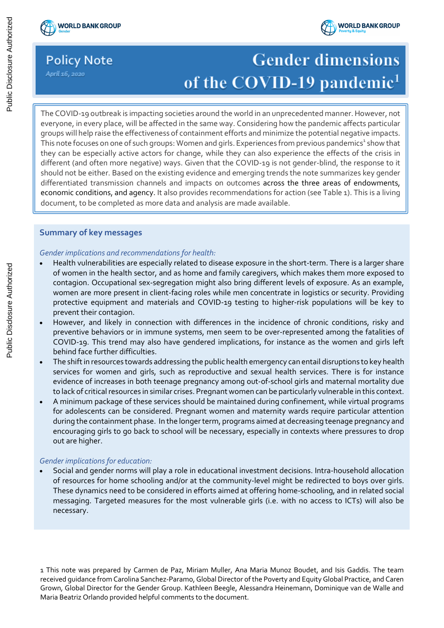## **Policy Note**

April 16, 2020

# **Gender dimensions** of the COVID-19 pandemic<sup>1</sup>

1 The COVID-19 outbreak is impacting societies around the world in an unprecedented manner. However, not groups winnerp raise the encetiveness or containment enorts and minimize the potential negative impacts.<br>This note focuses on one of such groups: Women and girls. Experiences from previous pandemics<sup>1</sup> show that everyone, in every place, will be affected in the same way. Considering how the pandemic affects particular groups will help raise the effectiveness of containment efforts and minimize the potential negative impacts. they can be especially active actors for change, while they can also experience the effects of the crisis in different (and often more negative) ways. Given that the COVID-19 is not gender-blind, the response to it should not be either. Based on the existing evidence and emerging trends the note summarizes key gender differentiated transmission channels and impacts on outcomes across the three areas of endowments, economic conditions, and agency. It also provides recommendations for action (see Table 1). This is a living document, to be completed as more data and analysis are made available.

## **Summary of key messages**

## *Gender implications and recommendations for health:*

- Health vulnerabilities are especially related to disease exposure in the short-term. There is a larger share of women in the health sector, and as home and family caregivers, which makes them more exposed to contagion. Occupational sex-segregation might also bring different levels of exposure. As an example, women are more present in client-facing roles while men concentrate in logistics or security. Providing protective equipment and materials and COVID-19 testing to higher-risk populations will be key to prevent their contagion.
- However, and likely in connection with differences in the incidence of chronic conditions, risky and preventive behaviors or in immune systems, men seem to be over-represented among the fatalities of COVID-19. This trend may also have gendered implications, for instance as the women and girls left behind face further difficulties.
- The shift in resources towards addressing the public health emergency can entail disruptions to key health services for women and girls, such as reproductive and sexual health services. There is for instance evidence of increases in both teenage pregnancy among out-of-school girls and maternal mortality due to lack of critical resources in similar crises. Pregnant women can be particularly vulnerable in this context.
- A minimum package of these services should be maintained during confinement, while virtual programs for adolescents can be considered. Pregnant women and maternity wards require particular attention during the containment phase. In the longer term, programs aimed at decreasing teenage pregnancy and encouraging girls to go back to school will be necessary, especially in contexts where pressures to drop out are higher.

## *Gender implications for education:*

• Social and gender norms will play a role in educational investment decisions. Intra-household allocation of resources for home schooling and/or at the community-level might be redirected to boys over girls. These dynamics need to be considered in efforts aimed at offering home-schooling, and in related social messaging. Targeted measures for the most vulnerable girls (i.e. with no access to ICTs) will also be necessary.

1 This note was prepared by Carmen de Paz, Miriam Muller, Ana Maria Munoz Boudet, and Isis Gaddis. The team received guidance from Carolina Sanchez-Paramo, Global Director of the Poverty and Equity Global Practice, and Caren Grown, Global Director for the Gender Group. Kathleen Beegle, Alessandra Heinemann, Dominique van de Walle and Maria Beatriz Orlando provided helpful comments to the document.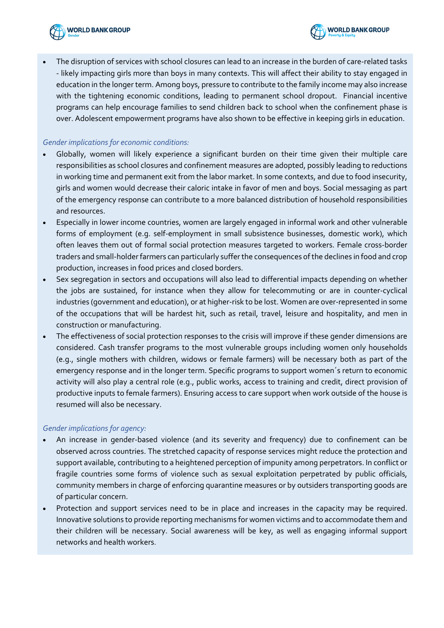

- **WORLD BANK GROUP**
- The disruption of services with school closures can lead to an increase in the burden of care-related tasks - likely impacting girls more than boys in many contexts. This will affect their ability to stay engaged in education in the longer term. Among boys, pressure to contribute to the family income may also increase with the tightening economic conditions, leading to permanent school dropout. Financial incentive programs can help encourage families to send children back to school when the confinement phase is over. Adolescent empowerment programs have also shown to be effective in keeping girls in education.

## *Gender implications for economic conditions:*

- Globally, women will likely experience a significant burden on their time given their multiple care responsibilities as school closures and confinement measures are adopted, possibly leading to reductions in working time and permanent exit from the labor market. In some contexts, and due to food insecurity, girls and women would decrease their caloric intake in favor of men and boys. Social messaging as part of the emergency response can contribute to a more balanced distribution of household responsibilities and resources.
- Especially in lower income countries, women are largely engaged in informal work and other vulnerable forms of employment (e.g. self-employment in small subsistence businesses, domestic work), which often leaves them out of formal social protection measures targeted to workers. Female cross-border traders and small-holder farmers can particularly suffer the consequences of the declines in food and crop production, increases in food prices and closed borders.
- Sex segregation in sectors and occupations will also lead to differential impacts depending on whether the jobs are sustained, for instance when they allow for telecommuting or are in counter-cyclical industries (government and education), or at higher-risk to be lost. Women are over-represented in some of the occupations that will be hardest hit, such as retail, travel, leisure and hospitality, and men in construction or manufacturing.
- The effectiveness of social protection responses to the crisis will improve if these gender dimensions are considered. Cash transfer programs to the most vulnerable groups including women only households (e.g., single mothers with children, widows or female farmers) will be necessary both as part of the emergency response and in the longer term. Specific programs to support women´s return to economic activity will also play a central role (e.g., public works, access to training and credit, direct provision of productive inputs to female farmers). Ensuring access to care support when work outside of the house is resumed will also be necessary.

## *Gender implications for agency:*

- An increase in gender-based violence (and its severity and frequency) due to confinement can be observed across countries. The stretched capacity of response services might reduce the protection and support available, contributing to a heightened perception of impunity among perpetrators. In conflict or fragile countries some forms of violence such as sexual exploitation perpetrated by public officials, community members in charge of enforcing quarantine measures or by outsiders transporting goods are of particular concern.
- Protection and support services need to be in place and increases in the capacity may be required. Innovative solutions to provide reporting mechanisms for women victims and to accommodate them and their children will be necessary. Social awareness will be key, as well as engaging informal support networks and health workers.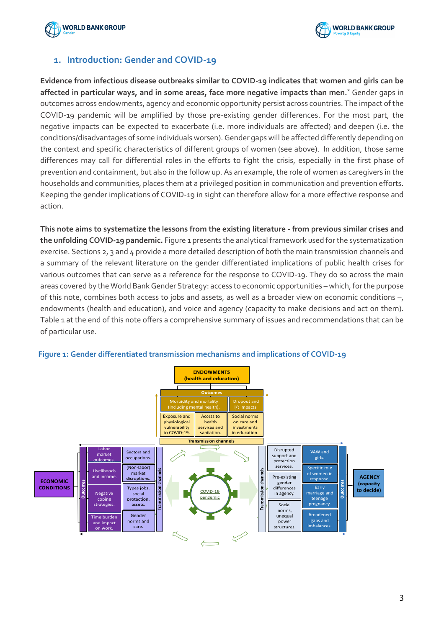



## **1. Introduction: Gender and COVID-19**

**Evidence from infectious disease outbreaks similar to COVID-19 indicates that women and girls can be affected in particular ways, and in some areas, face more negative impacts than men. <sup>2</sup>** Gender gaps in outcomes across endowments, agency and economic opportunity persist across countries. The impact of the COVID-19 pandemic will be amplified by those pre-existing gender differences. For the most part, the negative impacts can be expected to exacerbate (i.e. more individuals are affected) and deepen (i.e. the conditions/disadvantages of some individuals worsen). Gender gaps will be affected differently depending on the context and specific characteristics of different groups of women (see above). In addition, those same differences may call for differential roles in the efforts to fight the crisis, especially in the first phase of prevention and containment, but also in the follow up. As an example, the role of women as caregivers in the households and communities, places them at a privileged position in communication and prevention efforts. Keeping the gender implications of COVID-19 in sight can therefore allow for a more effective response and action.

**This note aims to systematize the lessons from the existing literature - from previous similar crises and the unfolding COVID-19 pandemic.** Figure 1 presents the analytical framework used for the systematization exercise. Sections 2, 3 and 4 provide a more detailed description of both the main transmission channels and a summary of the relevant literature on the gender differentiated implications of public health crises for various outcomes that can serve as a reference for the response to COVID-19. They do so across the main areas covered by the World Bank Gender Strategy: access to economic opportunities – which, for the purpose of this note, combines both access to jobs and assets, as well as a broader view on economic conditions –, endowments (health and education), and voice and agency (capacity to make decisions and act on them). Table 1 at the end of this note offers a comprehensive summary of issues and recommendations that can be of particular use.



## **Figure 1: Gender differentiated transmission mechanisms and implications of COVID-19**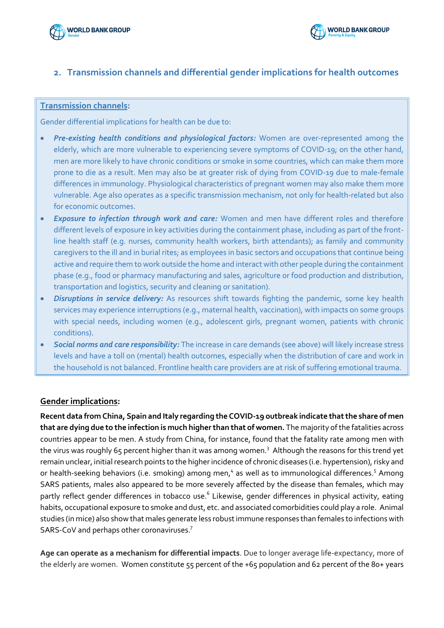

## **2. Transmission channels and differential gender implications for health outcomes**

## **Transmission channels:**

Gender differential implications for health can be due to:

- *Pre-existing health conditions and physiological factors:* Women are over-represented among the elderly, which are more vulnerable to experiencing severe symptoms of COVID-19; on the other hand, men are more likely to have chronic conditions or smoke in some countries, which can make them more prone to die as a result. Men may also be at greater risk of dying from COVID-19 due to male-female differences in immunology. Physiological characteristics of pregnant women may also make them more vulnerable. Age also operates as a specific transmission mechanism, not only for health-related but also for economic outcomes.
- *Exposure to infection through work and care:* Women and men have different roles and therefore different levels of exposure in key activities during the containment phase, including as part of the frontline health staff (e.g. nurses, community health workers, birth attendants); as family and community caregivers to the ill and in burial rites; as employees in basic sectors and occupations that continue being active and require them to work outside the home and interact with other people during the containment phase (e.g., food or pharmacy manufacturing and sales, agriculture or food production and distribution, transportation and logistics, security and cleaning or sanitation).
- *Disruptions in service delivery:* As resources shift towards fighting the pandemic, some key health services may experience interruptions (e.g., maternal health, vaccination), with impacts on some groups with special needs, including women (e.g., adolescent girls, pregnant women, patients with chronic conditions).
- *Social norms and care responsibility:* The increase in care demands (see above) will likely increase stress levels and have a toll on (mental) health outcomes, especially when the distribution of care and work in the household is not balanced. Frontline health care providers are at risk of suffering emotional trauma.

## **Gender implications:**

**Recent data from China, Spain and Italy regarding the COVID-19 outbreak indicate that the share of men that are dying due to the infection is much higher than that of women.** The majority of the fatalities across countries appear to be men. A study from China, for instance, found that the fatality rate among men with the virus was roughly 65 percent higher than it was among women.<sup>3</sup> Although the reasons for this trend yet remain unclear, initial research points to the higher incidence of chronic diseases (i.e. hypertension), risky and or health-seeking behaviors (i.e. smoking) among men,<sup>4</sup> as well as to immunological differences.<sup>5</sup> Among SARS patients, males also appeared to be more severely affected by the disease than females, which may partly reflect gender differences in tobacco use.<sup>6</sup> Likewise, gender differences in physical activity, eating habits, occupational exposure to smoke and dust, etc. and associated comorbidities could play a role. Animal studies (in mice) also show that males generate less robust immune responses than females to infections with SARS-CoV and perhaps other coronaviruses.7

**Age can operate as a mechanism for differential impacts**. Due to longer average life-expectancy, more of the elderly are women. Women constitute 55 percent of the +65 population and 62 percent of the 80+ years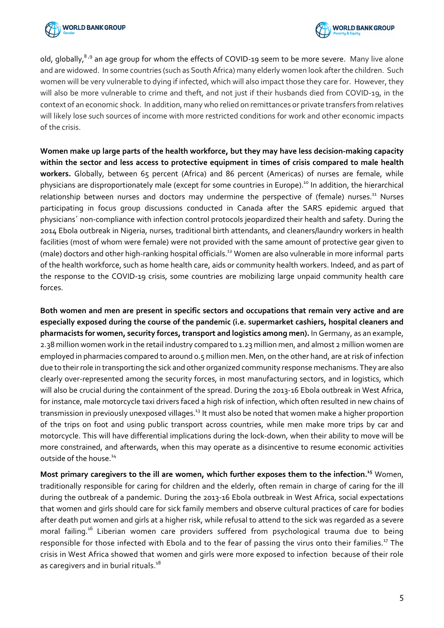



old, globally,  $8.9$  an age group for whom the effects of COVID-19 seem to be more severe. Many live alone and are widowed. In some countries (such as South Africa) many elderly women look after the children. Such women will be very vulnerable to dying if infected, which will also impact those they care for. However, they will also be more vulnerable to crime and theft, and not just if their husbands died from COVID-19, in the context of an economic shock. In addition, many who relied on remittances or private transfers from relatives will likely lose such sources of income with more restricted conditions for work and other economic impacts of the crisis.

**Women make up large parts of the health workforce, but they may have less decision-making capacity within the sector and less access to protective equipment in times of crisis compared to male health workers.** Globally, between 65 percent (Africa) and 86 percent (Americas) of nurses are female, while physicians are disproportionately male (except for some countries in Europe).<sup>10</sup> In addition, the hierarchical relationship between nurses and doctors may undermine the perspective of (female) nurses.<sup>11</sup> Nurses participating in focus group discussions conducted in Canada after the SARS epidemic argued that physicians´ non-compliance with infection control protocols jeopardized their health and safety. During the 2014 Ebola outbreak in Nigeria, nurses, traditional birth attendants, and cleaners/laundry workers in health facilities (most of whom were female) were not provided with the same amount of protective gear given to (male) doctors and other high-ranking hospital officials.12 Women are also vulnerable in more informal parts of the health workforce, such as home health care, aids or community health workers. Indeed, and as part of the response to the COVID-19 crisis, some countries are mobilizing large unpaid community health care forces.

**Both women and men are present in specific sectors and occupations that remain very active and are especially exposed during the course of the pandemic (i.e. supermarket cashiers, hospital cleaners and pharmacists for women, security forces, transport and logistics among men).** In Germany, as an example, 2.38 million women work in the retail industry compared to 1.23 million men, and almost 2 million women are employed in pharmacies compared to around 0.5 million men.Men, on the other hand, are at risk of infection due to their role in transporting the sick and other organized community response mechanisms. They are also clearly over-represented among the security forces, in most manufacturing sectors, and in logistics, which will also be crucial during the containment of the spread. During the 2013-16 Ebola outbreak in West Africa, for instance, male motorcycle taxi drivers faced a high risk of infection, which often resulted in new chains of transmission in previously unexposed villages.<sup>13</sup> It must also be noted that women make a higher proportion of the trips on foot and using public transport across countries, while men make more trips by car and motorcycle. This will have differential implications during the lock-down, when their ability to move will be more constrained, and afterwards, when this may operate as a disincentive to resume economic activities outside of the house.<sup>14</sup>

Most primary caregivers to the ill are women, which further exposes them to the infection.<sup>15</sup> Women, traditionally responsible for caring for children and the elderly, often remain in charge of caring for the ill during the outbreak of a pandemic. During the 2013-16 Ebola outbreak in West Africa, social expectations that women and girls should care for sick family members and observe cultural practices of care for bodies after death put women and girls at a higher risk, while refusal to attend to the sick was regarded as a severe moral failing. <sup>16</sup> Liberian women care providers suffered from psychological trauma due to being responsible for those infected with Ebola and to the fear of passing the virus onto their families.<sup>17</sup> The crisis in West Africa showed that women and girls were more exposed to infection because of their role as caregivers and in burial rituals.<sup>18</sup>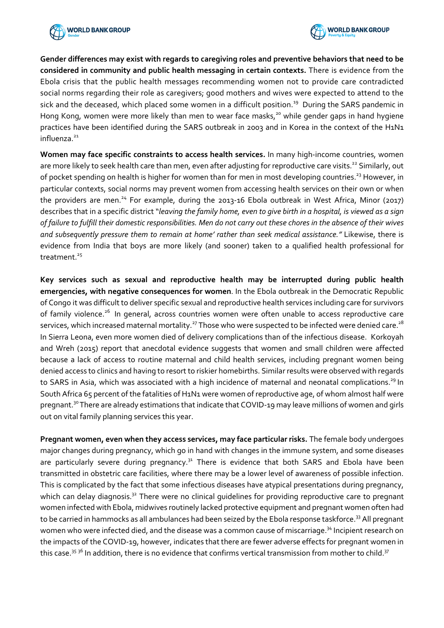



**Gender differences may exist with regards to caregiving roles and preventive behaviors that need to be considered in community and public health messaging in certain contexts.** There is evidence from the Ebola crisis that the public health messages recommending women not to provide care contradicted social norms regarding their role as caregivers; good mothers and wives were expected to attend to the sick and the deceased, which placed some women in a difficult position.<sup>19</sup> During the SARS pandemic in Hong Kong, women were more likely than men to wear face masks,<sup>20</sup> while gender gaps in hand hygiene practices have been identified during the SARS outbreak in 2003 and in Korea in the context of the H1N1  $influ$ enza $21$ 

**Women may face specific constraints to access health services.** In many high-income countries, women are more likely to seek health care than men, even after adjusting for reproductive care visits.<sup>22</sup> Similarly, out of pocket spending on health is higher for women than for men in most developing countries.<sup>23</sup> However, in particular contexts, social norms may prevent women from accessing health services on their own or when the providers are men.<sup>24</sup> For example, during the 2013-16 Ebola outbreak in West Africa, Minor (2017) describes that in a specific district "*leaving the family home, even to give birth in a hospital, is viewed as a sign of failure to fulfill their domestic responsibilities. Men do not carry out these chores in the absence of their wives and subsequently pressure them to remain at home' rather than seek medical assistance."* Likewise, there is evidence from India that boys are more likely (and sooner) taken to a qualified health professional for treatment.<sup>25</sup>

**Key services such as sexual and reproductive health may be interrupted during public health emergencies, with negative consequences for women**. In the Ebola outbreak in the Democratic Republic of Congo it was difficult to deliver specific sexual and reproductive health services including care for survivors of family violence.<sup>26</sup> In general, across countries women were often unable to access reproductive care services, which increased maternal mortality.<sup>27</sup> Those who were suspected to be infected were denied care.<sup>28</sup> In Sierra Leona, even more women died of delivery complications than of the infectious disease. Korkoyah and Wreh (2015) report that anecdotal evidence suggests that women and small children were affected because a lack of access to routine maternal and child health services, including pregnant women being denied access to clinics and having to resort to riskier homebirths. Similar results were observed with regards to SARS in Asia, which was associated with a high incidence of maternal and neonatal complications.<sup>29</sup> In South Africa 65 percent of the fatalities of H1N1 were women of reproductive age, of whom almost half were pregnant.30There are already estimations that indicate that COVID-19 may leave millions of women and girls out on vital family planning services this year.

**Pregnant women, even when they access services, may face particular risks.** The female body undergoes major changes during pregnancy, which go in hand with changes in the immune system, and some diseases are particularly severe during pregnancy.<sup>31</sup> There is evidence that both SARS and Ebola have been transmitted in obstetric care facilities, where there may be a lower level of awareness of possible infection. This is complicated by the fact that some infectious diseases have atypical presentations during pregnancy, which can delay diagnosis.<sup>32</sup> There were no clinical guidelines for providing reproductive care to pregnant women infected with Ebola, midwives routinely lacked protective equipment and pregnant women often had to be carried in hammocks as all ambulances had been seized by the Ebola response taskforce.<sup>33</sup> All pregnant women who were infected died, and the disease was a common cause of miscarriage.<sup>34</sup> Incipient research on the impacts of the COVID-19, however, indicates that there are fewer adverse effects for pregnant women in this case.<sup>35 36</sup> In addition, there is no evidence that confirms vertical transmission from mother to child.<sup>37</sup>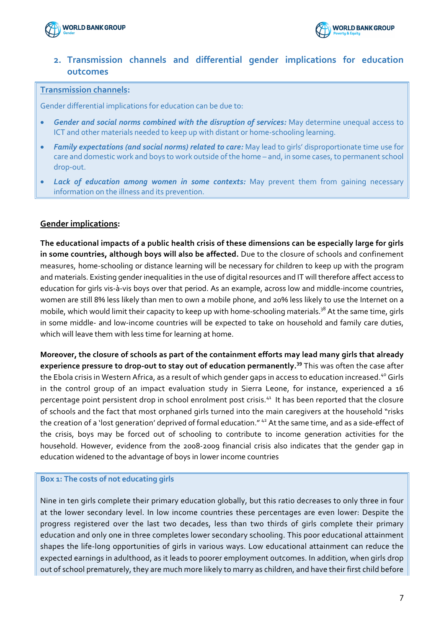



## **2. Transmission channels and differential gender implications for education outcomes**

#### **Transmission channels:**

Gender differential implications for education can be due to:

- *Gender and social norms combined with the disruption of services:* May determine unequal access to ICT and other materials needed to keep up with distant or home-schooling learning.
- *Family expectations (and social norms) related to care:* May lead to girls' disproportionate time use for care and domestic work and boys to work outside of the home – and, in some cases, to permanent school drop-out.
- **Lack of education among women in some contexts:** May prevent them from gaining necessary information on the illness and its prevention.

## **Gender implications:**

**The educational impacts of a public health crisis of these dimensions can be especially large for girls in some countries, although boys will also be affected.** Due to the closure of schools and confinement measures, home-schooling or distance learning will be necessary for children to keep up with the program and materials. Existing gender inequalities in the use of digital resources and IT will therefore affect access to education for girls vis-à-vis boys over that period. As an example, across low and middle-income countries, women are still 8% less likely than men to own a mobile phone, and 20% less likely to use the Internet on a mobile, which would limit their capacity to keep up with home-schooling materials.<sup>38</sup> At the same time, girls in some middle- and low-income countries will be expected to take on household and family care duties, which will leave them with less time for learning at home.

**Moreover, the closure of schools as part of the containment efforts may lead many girls that already experience pressure to drop-out to stay out of education permanently.<sup>39</sup>** This was often the case after the Ebola crisis in Western Africa, as a result of which gender gaps in access to education increased.<sup>40</sup> Girls in the control group of an impact evaluation study in Sierra Leone, for instance, experienced a 16 percentage point persistent drop in school enrolment post crisis.<sup>41</sup> It has been reported that the closure of schools and the fact that most orphaned girls turned into the main caregivers at the household "risks the creation of a 'lost generation' deprived of formal education."<sup>42</sup> At the same time, and as a side-effect of the crisis, boys may be forced out of schooling to contribute to income generation activities for the household. However, evidence from the 2008-2009 financial crisis also indicates that the gender gap in education widened to the advantage of boys in lower income countries

#### **Box 1: The costs of not educating girls**

Nine in ten girls complete their primary education globally, but this ratio decreases to only three in four at the lower secondary level. In low income countries these percentages are even lower: Despite the progress registered over the last two decades, less than two thirds of girls complete their primary education and only one in three completes lower secondary schooling. This poor educational attainment shapes the life-long opportunities of girls in various ways. Low educational attainment can reduce the expected earnings in adulthood, as it leads to poorer employment outcomes. In addition, when girls drop out of school prematurely, they are much more likely to marry as children, and have their first child before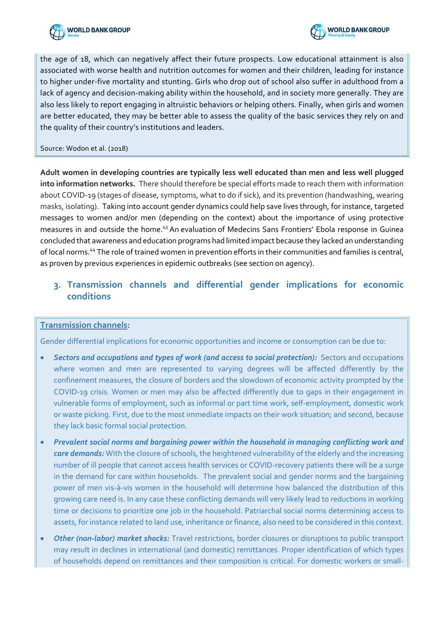



the age of 18, which can negatively affect their future prospects. Low educational attainment is also associated with worse health and nutrition outcomes for women and their children, leading for instance to higher under-five mortality and stunting. Girls who drop out of school also suffer in adulthood from a lack of agency and decision-making ability within the household, and in society more generally. They are also less likely to report engaging in altruistic behaviors or helping others. Finally, when girls and women are better educated, they may be better able to assess the quality of the basic services they rely on and the quality of their country's institutions and leaders.

#### Source: Wodon et al. (2018)

**Adult women in developing countries are typically less well educated than men and less well plugged into information networks.** There should therefore be special efforts made to reach them with information about COVID-19 (stages of disease, symptoms, what to do if sick), and its prevention (handwashing, wearing masks, isolating). Taking into account gender dynamics could help save lives through, for instance, targeted messages to women and/or men (depending on the context) about the importance of using protective measures in and outside the home.<sup>43</sup> An evaluation of Medecins Sans Frontiers' Ebola response in Guinea concluded that awareness and education programs had limited impact because they lacked an understanding of local norms.44 The role of trained women in prevention efforts in their communities and families is central, as proven by previous experiences in epidemic outbreaks (see section on agency).

## **3. Transmission channels and differential gender implications for economic conditions**

## **Transmission channels:**

Gender differential implications for economic opportunities and income or consumption can be due to:

- *Sectors and occupations and types of work (and access to social protection):* Sectors and occupations where women and men are represented to varying degrees will be affected differently by the confinement measures, the closure of borders and the slowdown of economic activity prompted by the COVID-19 crisis. Women or men may also be affected differently due to gaps in their engagement in vulnerable forms of employment, such as informal or part time work, self-employment, domestic work or waste picking. First, due to the most immediate impacts on their work situation; and second, because they lack basic formal social protection.
- *Prevalent social norms and bargaining power within the household in managing conflicting work and care demands:* With the closure of schools, the heightened vulnerability of the elderly and the increasing number of ill people that cannot access health services or COVID-recovery patients there will be a surge in the demand for care within households. The prevalent social and gender norms and the bargaining power of men vis-à-vis women in the household will determine how balanced the distribution of this growing care need is. In any case these conflicting demands will very likely lead to reductions in working time or decisions to prioritize one job in the household. Patriarchal social norms determining access to assets, for instance related to land use, inheritance or finance, also need to be considered in this context.
- *Other (non-labor) market shocks:* Travel restrictions, border closures or disruptions to public transport may result in declines in international (and domestic) remittances. Proper identification of which types of households depend on remittances and their composition is critical. For domestic workers or small-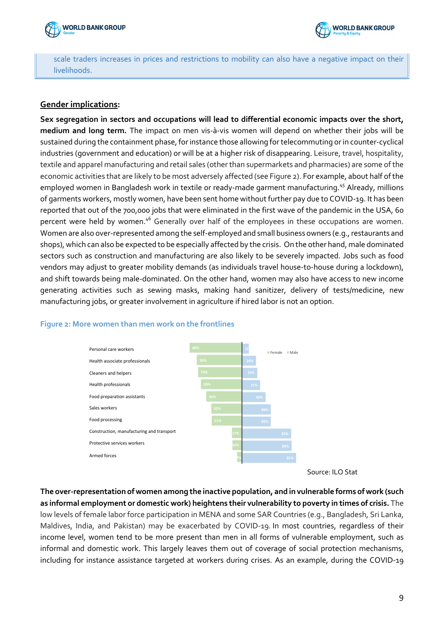



scale traders increases in prices and restrictions to mobility can also have a negative impact on their livelihoods.

## **Gender implications:**

**Sex segregation in sectors and occupations will lead to differential economic impacts over the short, medium and long term.** The impact on men vis-à-vis women will depend on whether their jobs will be sustained during the containment phase, for instance those allowing for telecommuting or in counter-cyclical industries (government and education) or will be at a higher risk of disappearing. Leisure, travel, hospitality, textile and apparel manufacturing and retail sales (other than supermarkets and pharmacies) are some of the economic activities that are likely to be most adversely affected (see Figure 2). For example, about half of the employed women in Bangladesh work in textile or ready-made garment manufacturing.<sup>45</sup> Already, millions of garments workers, mostly women, have been sent home without further pay due to COVID-19. It has been reported that out of the 700,000 jobs that were eliminated in the first wave of the pandemic in the USA, 60 percent were held by women.<sup>46</sup> Generally over half of the employees in these occupations are women. Women are also over-represented among the self-employed and small business owners (e.g., restaurants and shops), which can also be expected to be especially affected by the crisis. On the other hand, male dominated sectors such as construction and manufacturing are also likely to be severely impacted. Jobs such as food vendors may adjust to greater mobility demands (as individuals travel house-to-house during a lockdown), and shift towards being male-dominated. On the other hand, women may also have access to new income generating activities such as sewing masks, making hand sanitizer, delivery of tests/medicine, new manufacturing jobs, or greater involvement in agriculture if hired labor is not an option.



#### **Figure 2: More women than men work on the frontlines**

**The over-representation of women among the inactive population, and in vulnerable forms of work (such as informal employment or domestic work) heightens their vulnerability to poverty in times of crisis.** The low levels of female labor force participation in MENA and some SAR Countries (e.g., Bangladesh, Sri Lanka, Maldives, India, and Pakistan) may be exacerbated by COVID-19. In most countries, regardless of their income level, women tend to be more present than men in all forms of vulnerable employment, such as informal and domestic work. This largely leaves them out of coverage of social protection mechanisms, including for instance assistance targeted at workers during crises. As an example, during the COVID-19

Source: ILO Stat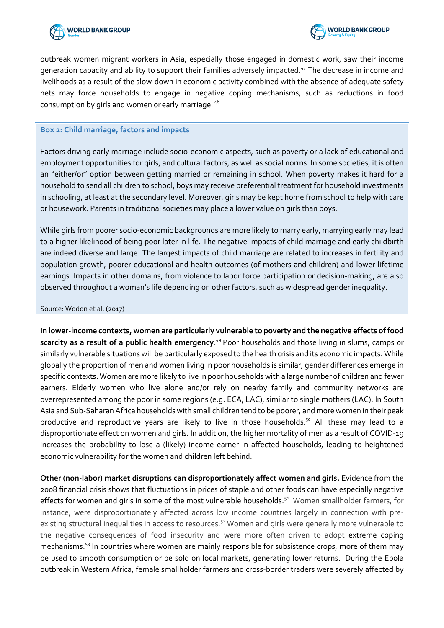



outbreak women migrant workers in Asia, especially those engaged in domestic work, saw their income generation capacity and ability to support their families adversely impacted.<sup>47</sup> The decrease in income and livelihoods as a result of the slow-down in economic activity combined with the absence of adequate safety nets may force households to engage in negative coping mechanisms, such as reductions in food consumption by girls and women or early marriage. <sup>48</sup>

#### **Box 2: Child marriage, factors and impacts**

Factors driving early marriage include socio-economic aspects, such as poverty or a lack of educational and employment opportunities for girls, and cultural factors, as well as social norms. In some societies, it is often an "either/or" option between getting married or remaining in school. When poverty makes it hard for a household to send all children to school, boys may receive preferential treatment for household investments in schooling, at least at the secondary level. Moreover, girls may be kept home from school to help with care or housework. Parents in traditional societies may place a lower value on girls than boys.

While girls from poorer socio-economic backgrounds are more likely to marry early, marrying early may lead to a higher likelihood of being poor later in life. The negative impacts of child marriage and early childbirth are indeed diverse and large. The largest impacts of child marriage are related to increases in fertility and population growth, poorer educational and health outcomes (of mothers and children) and lower lifetime earnings. Impacts in other domains, from violence to labor force participation or decision-making, are also observed throughout a woman's life depending on other factors, such as widespread gender inequality.

#### Source: Wodon et al. (2017)

**In lower-income contexts, women are particularly vulnerable to poverty and the negative effects of food scarcity as a result of a public health emergency**. <sup>49</sup> Poor households and those living in slums, camps or similarly vulnerable situations will be particularly exposed to the health crisis and its economic impacts. While globally the proportion of men and women living in poor households is similar, gender differences emerge in specific contexts. Women are more likely to live in poor households with a large number of children and fewer earners. Elderly women who live alone and/or rely on nearby family and community networks are overrepresented among the poor in some regions (e.g. ECA, LAC), similar to single mothers (LAC). In South Asia and Sub-Saharan Africa households with small children tend to be poorer, and more women in their peak productive and reproductive years are likely to live in those households.<sup>50</sup> All these may lead to a disproportionate effect on women and girls. In addition, the higher mortality of men as a result of COVID-19 increases the probability to lose a (likely) income earner in affected households, leading to heightened economic vulnerability for the women and children left behind.

**Other (non-labor) market disruptions can disproportionately affect women and girls.** Evidence from the 2008 financial crisis shows that fluctuations in prices of staple and other foods can have especially negative effects for women and girls in some of the most vulnerable households.<sup>51</sup> Women smallholder farmers, for instance, were disproportionately affected across low income countries largely in connection with preexisting structural inequalities in access to resources.<sup>52</sup> Women and girls were generally more vulnerable to the negative consequences of food insecurity and were more often driven to adopt extreme coping mechanisms. <sup>53</sup> In countries where women are mainly responsible for subsistence crops, more of them may be used to smooth consumption or be sold on local markets, generating lower returns. During the Ebola outbreak in Western Africa, female smallholder farmers and cross-border traders were severely affected by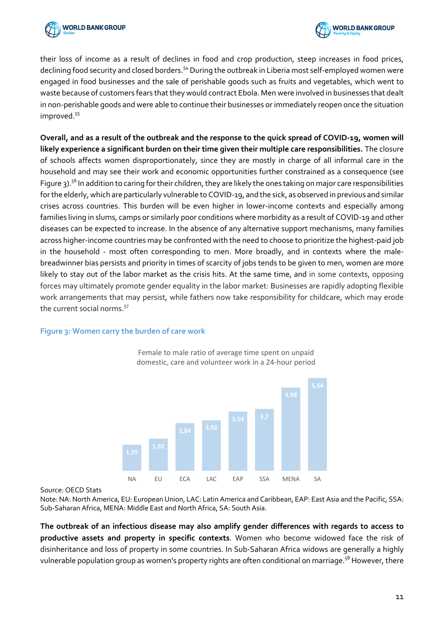



their loss of income as a result of declines in food and crop production, steep increases in food prices, declining food security and closed borders.<sup>54</sup> During the outbreak in Liberia most self-employed women were engaged in food businesses and the sale of perishable goods such as fruits and vegetables, which went to waste because of customers fears that they would contract Ebola. Men were involved in businesses that dealt in non-perishable goods and were able to continue their businesses or immediately reopen once the situation improved. 55

**Overall, and as a result of the outbreak and the response to the quick spread of COVID-19, women will likely experience a significant burden on their time given their multiple care responsibilities.** The closure of schools affects women disproportionately, since they are mostly in charge of all informal care in the household and may see their work and economic opportunities further constrained as a consequence (see Figure 3).<sup>56</sup> In addition to caring for their children, they are likely the ones taking on major care responsibilities for the elderly, which are particularly vulnerable to COVID-19, and the sick, as observed in previous and similar crises across countries. This burden will be even higher in lower-income contexts and especially among families living in slums, camps or similarly poor conditions where morbidity as a result of COVID-19 and other diseases can be expected to increase. In the absence of any alternative support mechanisms, many families across higher-income countries may be confronted with the need to choose to prioritize the highest-paid job in the household - most often corresponding to men. More broadly, and in contexts where the malebreadwinner bias persists and priority in times of scarcity of jobs tends to be given to men, women are more likely to stay out of the labor market as the crisis hits. At the same time, and in some contexts, opposing forces may ultimately promote gender equality in the labor market: Businesses are rapidly adopting flexible work arrangements that may persist, while fathers now take responsibility for childcare, which may erode the current social norms.<sup>57</sup>

#### **Figure 3: Women carry the burden of care work**



Female to male ratio of average time spent on unpaid domestic, care and volunteer work in a 24-hour period

Source: OECD Stats

Note: NA: North America, EU: European Union, LAC: Latin America and Caribbean, EAP: East Asia and the Pacific, SSA: Sub-Saharan Africa, MENA: Middle East and North Africa, SA: South Asia.

**The outbreak of an infectious disease may also amplify gender differences with regards to access to productive assets and property in specific contexts**. Women who become widowed face the risk of disinheritance and loss of property in some countries. In Sub-Saharan Africa widows are generally a highly vulnerable population group as women's property rights are often conditional on marriage.<sup>58</sup> However, there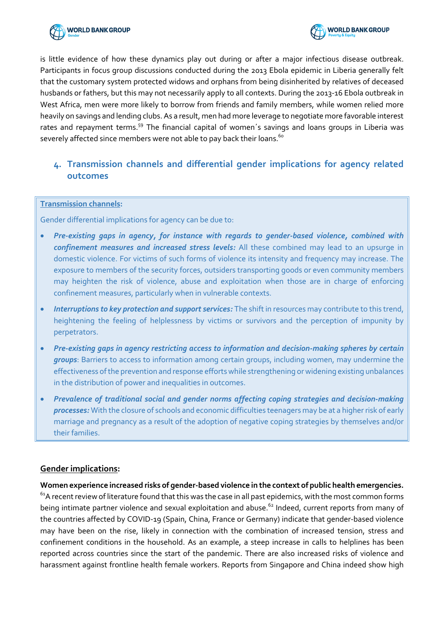



is little evidence of how these dynamics play out during or after a major infectious disease outbreak. Participants in focus group discussions conducted during the 2013 Ebola epidemic in Liberia generally felt that the customary system protected widows and orphans from being disinherited by relatives of deceased husbands or fathers, but this may not necessarily apply to all contexts. During the 2013-16 Ebola outbreak in West Africa, men were more likely to borrow from friends and family members, while women relied more heavily on savings and lending clubs. As a result, men had more leverage to negotiate more favorable interest rates and repayment terms.<sup>59</sup> The financial capital of women's savings and loans groups in Liberia was severely affected since members were not able to pay back their loans.<sup>60</sup>

## **4. Transmission channels and differential gender implications for agency related outcomes**

#### **Transmission channels:**

Gender differential implications for agency can be due to:

- *Pre-existing gaps in agency, for instance with regards to gender-based violence, combined with confinement measures and increased stress levels:* All these combined may lead to an upsurge in domestic violence. For victims of such forms of violence its intensity and frequency may increase. The exposure to members of the security forces, outsiders transporting goods or even community members may heighten the risk of violence, abuse and exploitation when those are in charge of enforcing confinement measures, particularly when in vulnerable contexts.
- *Interruptions to key protection and support services:* The shift in resources may contribute to this trend, heightening the feeling of helplessness by victims or survivors and the perception of impunity by perpetrators.
- *Pre-existing gaps in agency restricting access to information and decision-making spheres by certain groups*: Barriers to access to information among certain groups, including women, may undermine the effectiveness of the prevention and response efforts while strengthening or widening existing unbalances in the distribution of power and inequalities in outcomes.
- *Prevalence of traditional social and gender norms affecting coping strategies and decision-making processes:* With the closure of schools and economic difficulties teenagers may be at a higher risk of early marriage and pregnancy as a result of the adoption of negative coping strategies by themselves and/or their families.

## **Gender implications:**

**Women experience increased risks of gender-based violence in the context of public health emergencies.**  $61A$  recent review of literature found that this was the case in all past epidemics, with the most common forms being intimate partner violence and sexual exploitation and abuse.<sup>62</sup> Indeed, current reports from many of the countries affected by COVID-19 (Spain, China, France or Germany) indicate that gender-based violence may have been on the rise, likely in connection with the combination of increased tension, stress and confinement conditions in the household. As an example, a steep increase in calls to helplines has been reported across countries since the start of the pandemic. There are also increased risks of violence and harassment against frontline health female workers. Reports from Singapore and China indeed show high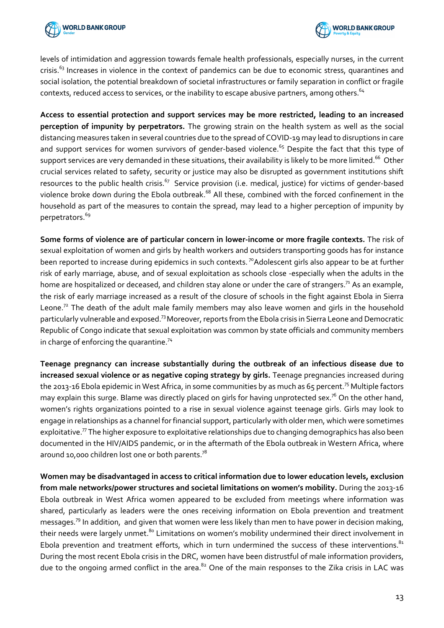



levels of intimidation and aggression towards female health professionals, especially nurses, in the current crisis.<sup>63</sup> Increases in violence in the context of pandemics can be due to economic stress, quarantines and social isolation, the potential breakdown of societal infrastructures or family separation in conflict or fragile contexts, reduced access to services, or the inability to escape abusive partners, among others.  $64$ 

**Access to essential protection and support services may be more restricted, leading to an increased perception of impunity by perpetrators.** The growing strain on the health system as well as the social distancing measures taken in several countries due to the spread of COVID-19 may lead to disruptions in care and support services for women survivors of gender-based violence.<sup>65</sup> Despite the fact that this type of support services are very demanded in these situations, their availability is likely to be more limited.<sup>66</sup> Other crucial services related to safety, security or justice may also be disrupted as government institutions shift resources to the public health crisis.<sup>67</sup> Service provision (i.e. medical, justice) for victims of gender-based violence broke down during the Ebola outbreak.<sup>68</sup> All these, combined with the forced confinement in the household as part of the measures to contain the spread, may lead to a higher perception of impunity by perpetrators.<sup>69</sup>

**Some forms of violence are of particular concern in lower-income or more fragile contexts.** The risk of sexual exploitation of women and girls by health workers and outsiders transporting goods has for instance been reported to increase during epidemics in such contexts.<sup>70</sup>Adolescent girls also appear to be at further risk of early marriage, abuse, and of sexual exploitation as schools close -especially when the adults in the home are hospitalized or deceased, and children stay alone or under the care of strangers.<sup>71</sup> As an example, the risk of early marriage increased as a result of the closure of schools in the fight against Ebola in Sierra Leone.<sup>72</sup> The death of the adult male family members may also leave women and girls in the household particularly vulnerable and exposed.73Moreover, reports from the Ebola crisis in Sierra Leone and Democratic Republic of Congo indicate that sexual exploitation was common by state officials and community members in charge of enforcing the quarantine.<sup>74</sup>

**Teenage pregnancy can increase substantially during the outbreak of an infectious disease due to increased sexual violence or as negative coping strategy by girls.** Teenage pregnancies increased during the 2013-16 Ebola epidemic in West Africa, in some communities by as much as 65 percent.<sup>75</sup> Multiple factors may explain this surge. Blame was directly placed on girls for having unprotected sex.<sup>76</sup> On the other hand, women's rights organizations pointed to a rise in sexual violence against teenage girls. Girls may look to engage in relationships as a channel for financial support, particularly with older men, which were sometimes exploitative.<sup>77</sup> The higher exposure to exploitative relationships due to changing demographics has also been documented in the HIV/AIDS pandemic, or in the aftermath of the Ebola outbreak in Western Africa, where around 10,000 children lost one or both parents.<sup>78</sup>

**Women may be disadvantaged in access to critical information due to lower education levels, exclusion from male networks/power structures and societal limitations on women's mobility.** During the 2013-16 Ebola outbreak in West Africa women appeared to be excluded from meetings where information was shared, particularly as leaders were the ones receiving information on Ebola prevention and treatment messages.79 In addition, and given that women were less likely than men to have power in decision making, their needs were largely unmet.<sup>80</sup> Limitations on women's mobility undermined their direct involvement in Ebola prevention and treatment efforts, which in turn undermined the success of these interventions. $^{81}$ During the most recent Ebola crisis in the DRC, women have been distrustful of male information providers, due to the ongoing armed conflict in the area.<sup>82</sup> One of the main responses to the Zika crisis in LAC was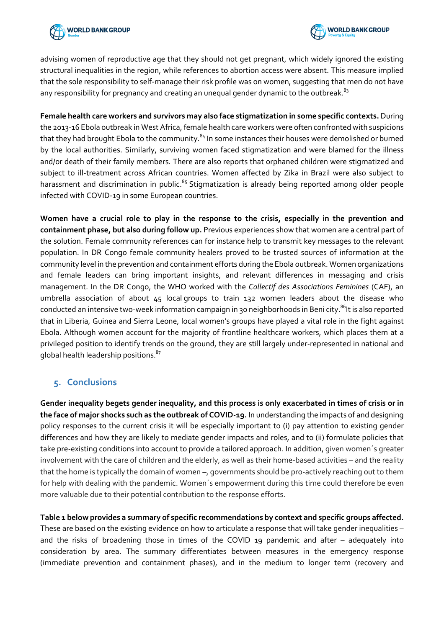



advising women of reproductive age that they should not get pregnant, which widely ignored the existing structural inequalities in the region, while references to abortion access were absent. This measure implied that the sole responsibility to self-manage their risk profile was on women, suggesting that men do not have any responsibility for pregnancy and creating an unequal gender dynamic to the outbreak.<sup>83</sup>

**Female health care workers and survivors may also face stigmatization in some specific contexts.** During the 2013-16 Ebola outbreak in West Africa, female health care workers were often confronted with suspicions that they had brought Ebola to the community.<sup>84</sup> In some instances their houses were demolished or burned by the local authorities. Similarly, surviving women faced stigmatization and were blamed for the illness and/or death of their family members. There are also reports that orphaned children were stigmatized and subject to ill-treatment across African countries. Women affected by Zika in Brazil were also subject to harassment and discrimination in public.<sup>85</sup> Stigmatization is already being reported among older people infected with COVID-19 in some European countries.

**Women have a crucial role to play in the response to the crisis, especially in the prevention and containment phase, but also during follow up.** Previous experiences show that women are a central part of the solution. Female community references can for instance help to transmit key messages to the relevant population. In DR Congo female community healers proved to be trusted sources of information at the community level in the prevention and containment efforts during the Ebola outbreak. Women organizations and female leaders can bring important insights, and relevant differences in messaging and crisis management. In the DR Congo, the WHO worked with the *Collectif des Associations Feminines* (CAF), an umbrella association of about 45 local groups to train 132 women leaders about the disease who conducted an intensive two-week information campaign in 30 neighborhoods in Beni city.<sup>86</sup>It is also reported that in Liberia, Guinea and Sierra Leone, local women's groups have played a vital role in the fight against Ebola. Although women account for the majority of frontline healthcare workers, which places them at a privileged position to identify trends on the ground, they are still largely under-represented in national and global health leadership positions.<sup>87</sup>

## **5. Conclusions**

**Gender inequality begets gender inequality, and this process is only exacerbated in times of crisis or in the face of major shocks such as the outbreak of COVID-19.** In understanding the impacts of and designing policy responses to the current crisis it will be especially important to (i) pay attention to existing gender differences and how they are likely to mediate gender impacts and roles, and to (ii) formulate policies that take pre-existing conditions into account to provide a tailored approach. In addition, given women´s greater involvement with the care of children and the elderly, as well as their home-based activities – and the reality that the home is typically the domain of women –, governments should be pro-actively reaching out to them for help with dealing with the pandemic. Women´s empowerment during this time could therefore be even more valuable due to their potential contribution to the response efforts.

**Table 1 below provides a summary of specific recommendations by context and specific groups affected.**  These are based on the existing evidence on how to articulate a response that will take gender inequalities – and the risks of broadening those in times of the COVID 19 pandemic and after – adequately into consideration by area. The summary differentiates between measures in the emergency response (immediate prevention and containment phases), and in the medium to longer term (recovery and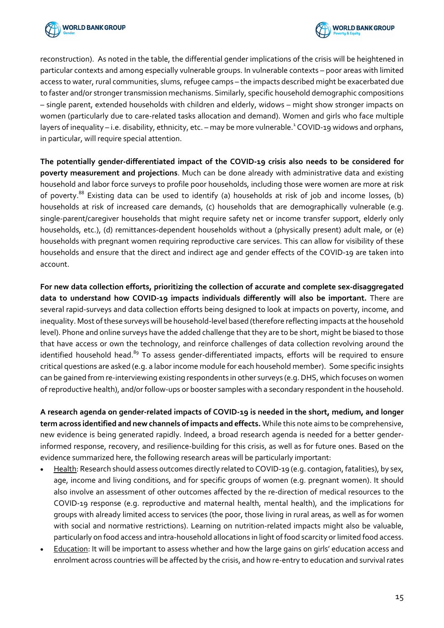



reconstruction). As noted in the table, the differential gender implications of the crisis will be heightened in particular contexts and among especially vulnerable groups. In vulnerable contexts – poor areas with limited access to water, rural communities, slums, refugee camps – the impacts described might be exacerbated due to faster and/or stronger transmission mechanisms. Similarly, specific household demographic compositions – single parent, extended households with children and elderly, widows – might show stronger impacts on women (particularly due to care-related tasks allocation and demand). Women and girls who face multiple layers of inequality – i.e. disability, ethnicity, etc. – may be more vulnerable.<sup>1</sup> COVID-19 widows and orphans, in particular, will require special attention.

**The potentially gender-differentiated impact of the COVID-19 crisis also needs to be considered for poverty measurement and projections**. Much can be done already with administrative data and existing household and labor force surveys to profile poor households, including those were women are more at risk of poverty.<sup>88</sup> Existing data can be used to identify (a) households at risk of job and income losses, (b) households at risk of increased care demands, (c) households that are demographically vulnerable (e.g. single-parent/caregiver households that might require safety net or income transfer support, elderly only households, etc.), (d) remittances-dependent households without a (physically present) adult male, or (e) households with pregnant women requiring reproductive care services. This can allow for visibility of these households and ensure that the direct and indirect age and gender effects of the COVID-19 are taken into account.

**For new data collection efforts, prioritizing the collection of accurate and complete sex-disaggregated data to understand how COVID-19 impacts individuals differently will also be important.** There are several rapid-surveys and data collection efforts being designed to look at impacts on poverty, income, and inequality. Most of these surveys will be household-level based (therefore reflecting impacts at the household level). Phone and online surveys have the added challenge that they are to be short, might be biased to those that have access or own the technology, and reinforce challenges of data collection revolving around the identified household head.<sup>89</sup> To assess gender-differentiated impacts, efforts will be required to ensure critical questions are asked (e.g. a labor income module for each household member). Some specific insights can be gained from re-interviewing existing respondents in other surveys (e.g. DHS, which focuses on women of reproductive health), and/or follow-ups or booster samples with a secondary respondent in the household.

**A research agenda on gender-related impacts of COVID-19 is needed in the short, medium, and longer term across identified and new channels of impacts and effects.** While this note aims to be comprehensive, new evidence is being generated rapidly. Indeed, a broad research agenda is needed for a better genderinformed response, recovery, and resilience-building for this crisis, as well as for future ones. Based on the evidence summarized here, the following research areas will be particularly important:

- Health: Research should assess outcomes directly related to COVID-19 (e.g. contagion, fatalities), by sex, age, income and living conditions, and for specific groups of women (e.g. pregnant women). It should also involve an assessment of other outcomes affected by the re-direction of medical resources to the COVID-19 response (e.g. reproductive and maternal health, mental health), and the implications for groups with already limited access to services (the poor, those living in rural areas, as well as for women with social and normative restrictions). Learning on nutrition-related impacts might also be valuable, particularly on food access and intra-household allocations in light of food scarcity or limited food access.
- Education: It will be important to assess whether and how the large gains on girls' education access and enrolment across countries will be affected by the crisis, and how re-entry to education and survival rates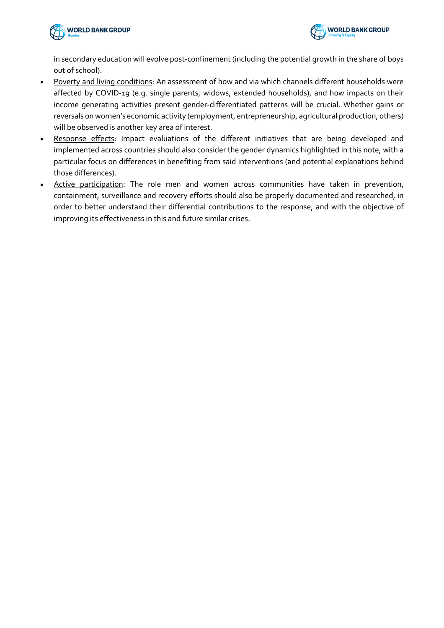



in secondary education will evolve post-confinement (including the potential growth in the share of boys out of school).

- Poverty and living conditions: An assessment of how and via which channels different households were affected by COVID-19 (e.g. single parents, widows, extended households), and how impacts on their income generating activities present gender-differentiated patterns will be crucial. Whether gains or reversals on women's economic activity (employment, entrepreneurship, agricultural production, others) will be observed is another key area of interest.
- Response effects: Impact evaluations of the different initiatives that are being developed and implemented across countries should also consider the gender dynamics highlighted in this note, with a particular focus on differences in benefiting from said interventions (and potential explanations behind those differences).
- Active participation: The role men and women across communities have taken in prevention, containment, surveillance and recovery efforts should also be properly documented and researched, in order to better understand their differential contributions to the response, and with the objective of improving its effectiveness in this and future similar crises.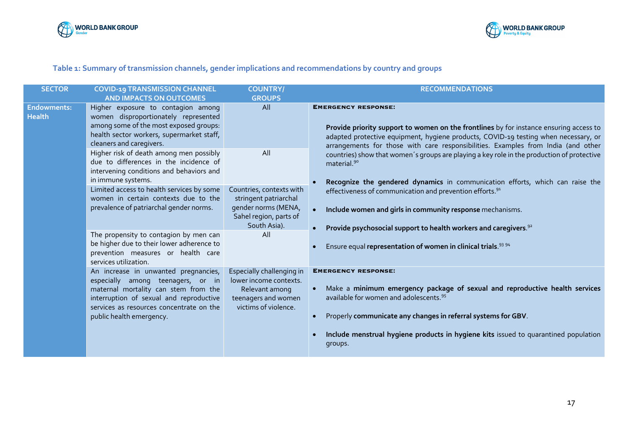



## **Table 1: Summary of transmission channels, gender implications and recommendations by country and groups**

| <b>SECTOR</b>                       | <b>COVID-19 TRANSMISSION CHANNEL</b>                                                                                                                                                                                                 | <b>COUNTRY/</b>                                                                                                      | <b>RECOMMENDATIONS</b>                                                                                                                                                                                                                                                                                                                          |
|-------------------------------------|--------------------------------------------------------------------------------------------------------------------------------------------------------------------------------------------------------------------------------------|----------------------------------------------------------------------------------------------------------------------|-------------------------------------------------------------------------------------------------------------------------------------------------------------------------------------------------------------------------------------------------------------------------------------------------------------------------------------------------|
|                                     | <b>AND IMPACTS ON OUTCOMES</b>                                                                                                                                                                                                       | <b>GROUPS</b>                                                                                                        |                                                                                                                                                                                                                                                                                                                                                 |
| <b>Endowments:</b><br><b>Health</b> | Higher exposure to contagion among<br>women disproportionately represented<br>among some of the most exposed groups:<br>health sector workers, supermarket staff,<br>cleaners and caregivers.                                        | All                                                                                                                  | <b>EMERGENCY RESPONSE:</b><br>Provide priority support to women on the frontlines by for instance ensuring access to<br>adapted protective equipment, hygiene products, COVID-19 testing when necessary, or<br>arrangements for those with care responsibilities. Examples from India (and other                                                |
|                                     | Higher risk of death among men possibly<br>due to differences in the incidence of<br>intervening conditions and behaviors and<br>in immune systems.                                                                                  | All                                                                                                                  | countries) show that women's groups are playing a key role in the production of protective<br>material. <sup>90</sup><br>Recognize the gendered dynamics in communication efforts, which can raise the                                                                                                                                          |
|                                     | Limited access to health services by some<br>women in certain contexts due to the<br>prevalence of patriarchal gender norms.                                                                                                         | Countries, contexts with<br>stringent patriarchal<br>gender norms (MENA,<br>Sahel region, parts of<br>South Asia).   | effectiveness of communication and prevention efforts. <sup>91</sup><br>Include women and girls in community response mechanisms.<br>$\bullet$<br>Provide psychosocial support to health workers and caregivers. <sup>92</sup>                                                                                                                  |
|                                     | The propensity to contagion by men can<br>be higher due to their lower adherence to<br>prevention measures or health care<br>services utilization.                                                                                   | All                                                                                                                  | Ensure equal representation of women in clinical trials. <sup>93 94</sup>                                                                                                                                                                                                                                                                       |
|                                     | An increase in unwanted pregnancies,<br>especially among teenagers, or in<br>maternal mortality can stem from the<br>interruption of sexual and reproductive<br>services as resources concentrate on the<br>public health emergency. | Especially challenging in<br>lower income contexts.<br>Relevant among<br>teenagers and women<br>victims of violence. | <b>EMERGENCY RESPONSE:</b><br>Make a minimum emergency package of sexual and reproductive health services<br>available for women and adolescents. <sup>95</sup><br>Properly communicate any changes in referral systems for GBV.<br>$\bullet$<br>Include menstrual hygiene products in hygiene kits issued to quarantined population<br>groups. |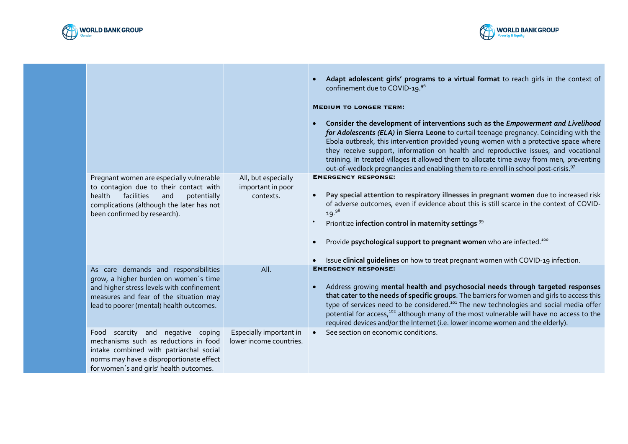



|                                                                                                                                                                                                               |                                                       | $\bullet$<br>$\bullet$ | Adapt adolescent girls' programs to a virtual format to reach girls in the context of<br>confinement due to COVID-19.96<br><b>MEDIUM TO LONGER TERM:</b><br>Consider the development of interventions such as the <i>Empowerment and Livelihood</i><br>for Adolescents (ELA) in Sierra Leone to curtail teenage pregnancy. Coinciding with the<br>Ebola outbreak, this intervention provided young women with a protective space where<br>they receive support, information on health and reproductive issues, and vocational<br>training. In treated villages it allowed them to allocate time away from men, preventing<br>out-of-wedlock pregnancies and enabling them to re-enroll in school post-crisis. <sup>97</sup> |
|---------------------------------------------------------------------------------------------------------------------------------------------------------------------------------------------------------------|-------------------------------------------------------|------------------------|-----------------------------------------------------------------------------------------------------------------------------------------------------------------------------------------------------------------------------------------------------------------------------------------------------------------------------------------------------------------------------------------------------------------------------------------------------------------------------------------------------------------------------------------------------------------------------------------------------------------------------------------------------------------------------------------------------------------------------|
| Pregnant women are especially vulnerable<br>to contagion due to their contact with<br>facilities<br>health<br>and<br>potentially<br>complications (although the later has not<br>been confirmed by research). | All, but especially<br>important in poor<br>contexts. | $\bullet$<br>$\bullet$ | <b>EMERGENCY RESPONSE:</b><br>Pay special attention to respiratory illnesses in pregnant women due to increased risk<br>of adverse outcomes, even if evidence about this is still scarce in the context of COVID-<br>19. <sup>98</sup><br>Prioritize infection control in maternity settings <sup>.99</sup><br>Provide psychological support to pregnant women who are infected. <sup>100</sup><br>Issue clinical guidelines on how to treat pregnant women with COVID-19 infection.                                                                                                                                                                                                                                        |
| As care demands and responsibilities                                                                                                                                                                          | All.                                                  |                        | <b>EMERGENCY RESPONSE:</b>                                                                                                                                                                                                                                                                                                                                                                                                                                                                                                                                                                                                                                                                                                  |
| grow, a higher burden on women's time<br>and higher stress levels with confinement<br>measures and fear of the situation may<br>lead to poorer (mental) health outcomes.                                      |                                                       | $\bullet$              | Address growing mental health and psychosocial needs through targeted responses<br>that cater to the needs of specific groups. The barriers for women and girls to access this<br>type of services need to be considered. <sup>101</sup> The new technologies and social media offer<br>potential for access, <sup>102</sup> although many of the most vulnerable will have no access to the<br>required devices and/or the Internet (i.e. lower income women and the elderly).                                                                                                                                                                                                                                             |
| Food scarcity and negative coping<br>mechanisms such as reductions in food<br>intake combined with patriarchal social<br>norms may have a disproportionate effect<br>for women's and girls' health outcomes.  | Especially important in<br>lower income countries.    |                        | See section on economic conditions.                                                                                                                                                                                                                                                                                                                                                                                                                                                                                                                                                                                                                                                                                         |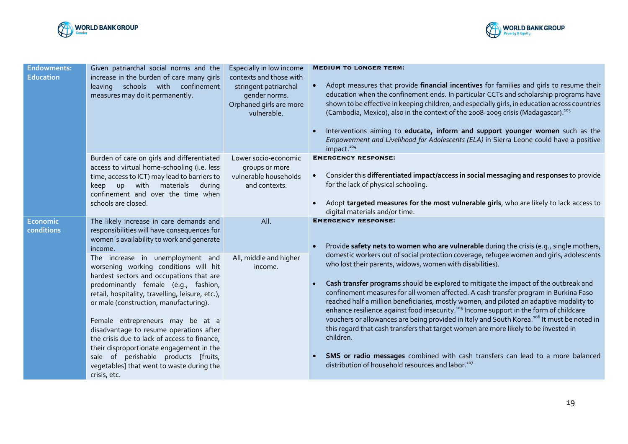



| <b>Endowments:</b><br><b>Education</b> | Given patriarchal social norms and the<br>increase in the burden of care many girls<br>leaving schools with confinement<br>measures may do it permanently.                                                                                                                                                                                                                                                                                                                                                                                                                                                                                                                                    | Especially in low income<br>contexts and those with<br>stringent patriarchal<br>gender norms.<br>Orphaned girls are more<br>vulnerable. | <b>MEDIUM TO LONGER TERM:</b><br>Adopt measures that provide financial incentives for families and girls to resume their<br>$\bullet$<br>education when the confinement ends. In particular CCTs and scholarship programs have<br>shown to be effective in keeping children, and especially girls, in education across countries<br>(Cambodia, Mexico), also in the context of the 2008-2009 crisis (Madagascar). <sup>103</sup><br>Interventions aiming to educate, inform and support younger women such as the<br>Empowerment and Livelihood for Adolescents (ELA) in Sierra Leone could have a positive<br>impact. <sup>104</sup>                                                                                                                                                                                                                                                                                                                                                                                             |
|----------------------------------------|-----------------------------------------------------------------------------------------------------------------------------------------------------------------------------------------------------------------------------------------------------------------------------------------------------------------------------------------------------------------------------------------------------------------------------------------------------------------------------------------------------------------------------------------------------------------------------------------------------------------------------------------------------------------------------------------------|-----------------------------------------------------------------------------------------------------------------------------------------|-----------------------------------------------------------------------------------------------------------------------------------------------------------------------------------------------------------------------------------------------------------------------------------------------------------------------------------------------------------------------------------------------------------------------------------------------------------------------------------------------------------------------------------------------------------------------------------------------------------------------------------------------------------------------------------------------------------------------------------------------------------------------------------------------------------------------------------------------------------------------------------------------------------------------------------------------------------------------------------------------------------------------------------|
|                                        | Burden of care on girls and differentiated<br>access to virtual home-schooling (i.e. less<br>time, access to ICT) may lead to barriers to<br>keep up with materials during<br>confinement and over the time when<br>schools are closed.                                                                                                                                                                                                                                                                                                                                                                                                                                                       | Lower socio-economic<br>groups or more<br>vulnerable households<br>and contexts.                                                        | <b>EMERGENCY RESPONSE:</b><br>Consider this differentiated impact/access in social messaging and responses to provide<br>for the lack of physical schooling.<br>Adopt targeted measures for the most vulnerable girls, who are likely to lack access to<br>$\bullet$<br>digital materials and/or time.                                                                                                                                                                                                                                                                                                                                                                                                                                                                                                                                                                                                                                                                                                                            |
| <b>Economic</b><br>conditions          | The likely increase in care demands and<br>responsibilities will have consequences for<br>women's availability to work and generate<br>income.<br>The increase in unemployment and<br>worsening working conditions will hit<br>hardest sectors and occupations that are<br>predominantly female (e.g., fashion,<br>retail, hospitality, travelling, leisure, etc.),<br>or male (construction, manufacturing).<br>Female entrepreneurs may be at a<br>disadvantage to resume operations after<br>the crisis due to lack of access to finance,<br>their disproportionate engagement in the<br>sale of perishable products [fruits,<br>vegetables] that went to waste during the<br>crisis, etc. | All.<br>All, middle and higher<br>income.                                                                                               | <b>EMERGENCY RESPONSE:</b><br>Provide safety nets to women who are vulnerable during the crisis (e.g., single mothers,<br>domestic workers out of social protection coverage, refugee women and girls, adolescents<br>who lost their parents, widows, women with disabilities).<br>Cash transfer programs should be explored to mitigate the impact of the outbreak and<br>confinement measures for all women affected. A cash transfer program in Burkina Faso<br>reached half a million beneficiaries, mostly women, and piloted an adaptive modality to<br>enhance resilience against food insecurity. <sup>105</sup> Income support in the form of childcare<br>vouchers or allowances are being provided in Italy and South Korea. <sup>106</sup> It must be noted in<br>this regard that cash transfers that target women are more likely to be invested in<br>children.<br>SMS or radio messages combined with cash transfers can lead to a more balanced<br>distribution of household resources and labor. <sup>107</sup> |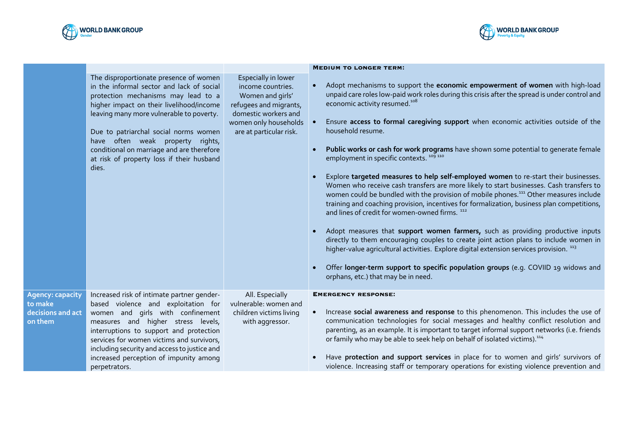



|                                                                    |                                                                                                                                                                                                                                                                                                                                                                                                    |                                                                                                                                                                    | <b>MEDIUM TO LONGER TERM:</b>                                                                                                                                                                                                                                                                                                                                                                                                                                                                                                                                                                                                                                                                                                                                                                                                                                                                                                                                                                                                                                                                                                                                                                                                                                                                                                  |
|--------------------------------------------------------------------|----------------------------------------------------------------------------------------------------------------------------------------------------------------------------------------------------------------------------------------------------------------------------------------------------------------------------------------------------------------------------------------------------|--------------------------------------------------------------------------------------------------------------------------------------------------------------------|--------------------------------------------------------------------------------------------------------------------------------------------------------------------------------------------------------------------------------------------------------------------------------------------------------------------------------------------------------------------------------------------------------------------------------------------------------------------------------------------------------------------------------------------------------------------------------------------------------------------------------------------------------------------------------------------------------------------------------------------------------------------------------------------------------------------------------------------------------------------------------------------------------------------------------------------------------------------------------------------------------------------------------------------------------------------------------------------------------------------------------------------------------------------------------------------------------------------------------------------------------------------------------------------------------------------------------|
|                                                                    | The disproportionate presence of women<br>in the informal sector and lack of social<br>protection mechanisms may lead to a<br>higher impact on their livelihood/income<br>leaving many more vulnerable to poverty.<br>Due to patriarchal social norms women<br>have often weak property rights,<br>conditional on marriage and are therefore<br>at risk of property loss if their husband<br>dies. | Especially in lower<br>income countries.<br>Women and girls'<br>refugees and migrants,<br>domestic workers and<br>women only households<br>are at particular risk. | Adopt mechanisms to support the economic empowerment of women with high-load<br>unpaid care roles low-paid work roles during this crisis after the spread is under control and<br>economic activity resumed. <sup>108</sup><br>Ensure access to formal caregiving support when economic activities outside of the<br>household resume.<br>Public works or cash for work programs have shown some potential to generate female<br>employment in specific contexts. <sup>109 110</sup><br>Explore targeted measures to help self-employed women to re-start their businesses.<br>Women who receive cash transfers are more likely to start businesses. Cash transfers to<br>women could be bundled with the provision of mobile phones. <sup>111</sup> Other measures include<br>training and coaching provision, incentives for formalization, business plan competitions,<br>and lines of credit for women-owned firms. 112<br>Adopt measures that support women farmers, such as providing productive inputs<br>directly to them encouraging couples to create joint action plans to include women in<br>higher-value agricultural activities. Explore digital extension services provision. 113<br>Offer longer-term support to specific population groups (e.g. COVIID 19 widows and<br>orphans, etc.) that may be in need. |
| <b>Agency: capacity</b><br>to make<br>decisions and act<br>on them | Increased risk of intimate partner gender-<br>based violence and exploitation for<br>women and girls with confinement<br>measures and higher stress levels,<br>interruptions to support and protection<br>services for women victims and survivors,<br>including security and access to justice and<br>increased perception of impunity among<br>perpetrators.                                     | All. Especially<br>vulnerable: women and<br>children victims living<br>with aggressor.                                                                             | <b>EMERGENCY RESPONSE:</b><br>Increase social awareness and response to this phenomenon. This includes the use of<br>communication technologies for social messages and healthy conflict resolution and<br>parenting, as an example. It is important to target informal support networks (i.e. friends<br>or family who may be able to seek help on behalf of isolated victims). <sup>114</sup><br>Have protection and support services in place for to women and girls' survivors of<br>violence. Increasing staff or temporary operations for existing violence prevention and                                                                                                                                                                                                                                                                                                                                                                                                                                                                                                                                                                                                                                                                                                                                               |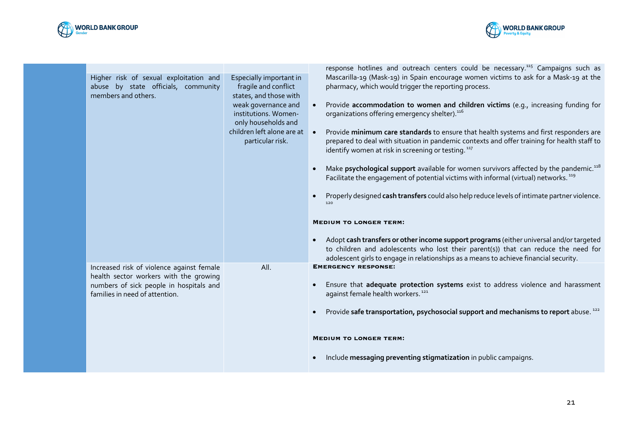



| Higher risk of sexual exploitation and<br>abuse by state officials, community<br>members and others.                                                             | Especially important in<br>fragile and conflict<br>states, and those with<br>weak governance and<br>institutions. Women-<br>only households and<br>children left alone are at<br>particular risk. | response hotlines and outreach centers could be necessary. <sup>115</sup> Campaigns such as<br>Mascarilla-19 (Mask-19) in Spain encourage women victims to ask for a Mask-19 at the<br>pharmacy, which would trigger the reporting process.<br>Provide accommodation to women and children victims (e.g., increasing funding for<br>$\bullet$<br>organizations offering emergency shelter). <sup>116</sup><br>Provide minimum care standards to ensure that health systems and first responders are<br>$\bullet$<br>prepared to deal with situation in pandemic contexts and offer training for health staff to<br>identify women at risk in screening or testing. <sup>117</sup><br>Make psychological support available for women survivors affected by the pandemic. <sup>118</sup><br>Facilitate the engagement of potential victims with informal (virtual) networks. <sup>119</sup> |
|------------------------------------------------------------------------------------------------------------------------------------------------------------------|---------------------------------------------------------------------------------------------------------------------------------------------------------------------------------------------------|-------------------------------------------------------------------------------------------------------------------------------------------------------------------------------------------------------------------------------------------------------------------------------------------------------------------------------------------------------------------------------------------------------------------------------------------------------------------------------------------------------------------------------------------------------------------------------------------------------------------------------------------------------------------------------------------------------------------------------------------------------------------------------------------------------------------------------------------------------------------------------------------|
|                                                                                                                                                                  |                                                                                                                                                                                                   | Properly designed cash transfers could also help reduce levels of intimate partner violence.<br><b>MEDIUM TO LONGER TERM:</b><br>Adopt cash transfers or other income support programs (either universal and/or targeted<br>$\bullet$<br>to children and adolescents who lost their parent(s)) that can reduce the need for<br>adolescent girls to engage in relationships as a means to achieve financial security.                                                                                                                                                                                                                                                                                                                                                                                                                                                                      |
| Increased risk of violence against female<br>health sector workers with the growing<br>numbers of sick people in hospitals and<br>families in need of attention. | All.                                                                                                                                                                                              | <b>EMERGENCY RESPONSE:</b><br>Ensure that adequate protection systems exist to address violence and harassment<br>against female health workers. <sup>121</sup><br>Provide safe transportation, psychosocial support and mechanisms to report abuse. <sup>222</sup><br><b>MEDIUM TO LONGER TERM:</b><br>Include messaging preventing stigmatization in public campaigns.                                                                                                                                                                                                                                                                                                                                                                                                                                                                                                                  |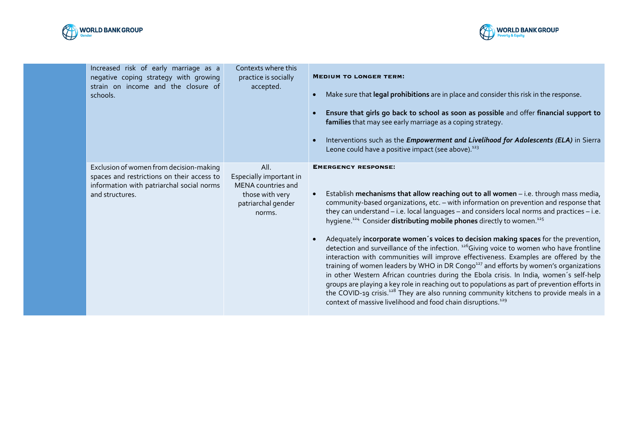



| Increased risk of early marriage as a<br>negative coping strategy with growing<br>strain on income and the closure of<br>schools.                     | Contexts where this<br>practice is socially<br>accepted.                                                 | <b>MEDIUM TO LONGER TERM:</b><br>Make sure that legal prohibitions are in place and consider this risk in the response.<br>$\bullet$<br>Ensure that girls go back to school as soon as possible and offer financial support to<br>families that may see early marriage as a coping strategy.<br>Interventions such as the <i>Empowerment and Livelihood for Adolescents (ELA)</i> in Sierra<br>Leone could have a positive impact (see above). <sup>123</sup>                                                                                                                                                                                                                                                                                                                                                                                                                                                                                                                                                                                                                                                                                                                                      |
|-------------------------------------------------------------------------------------------------------------------------------------------------------|----------------------------------------------------------------------------------------------------------|----------------------------------------------------------------------------------------------------------------------------------------------------------------------------------------------------------------------------------------------------------------------------------------------------------------------------------------------------------------------------------------------------------------------------------------------------------------------------------------------------------------------------------------------------------------------------------------------------------------------------------------------------------------------------------------------------------------------------------------------------------------------------------------------------------------------------------------------------------------------------------------------------------------------------------------------------------------------------------------------------------------------------------------------------------------------------------------------------------------------------------------------------------------------------------------------------|
| Exclusion of women from decision-making<br>spaces and restrictions on their access to<br>information with patriarchal social norms<br>and structures. | All.<br>Especially important in<br>MENA countries and<br>those with very<br>patriarchal gender<br>norms. | <b>EMERGENCY RESPONSE:</b><br>Establish mechanisms that allow reaching out to all women - i.e. through mass media,<br>community-based organizations, etc. - with information on prevention and response that<br>they can understand – i.e. local languages – and considers local norms and practices – i.e.<br>hygiene. <sup>124</sup> Consider distributing mobile phones directly to women. <sup>125</sup><br>Adequately incorporate women's voices to decision making spaces for the prevention,<br>$\bullet$<br>detection and surveillance of the infection. <sup>126</sup> Giving voice to women who have frontline<br>interaction with communities will improve effectiveness. Examples are offered by the<br>training of women leaders by WHO in DR Congo <sup>127</sup> and efforts by women's organizations<br>in other Western African countries during the Ebola crisis. In India, women's self-help<br>groups are playing a key role in reaching out to populations as part of prevention efforts in<br>the COVID-19 crisis. <sup>128</sup> They are also running community kitchens to provide meals in a<br>context of massive livelihood and food chain disruptions. <sup>129</sup> |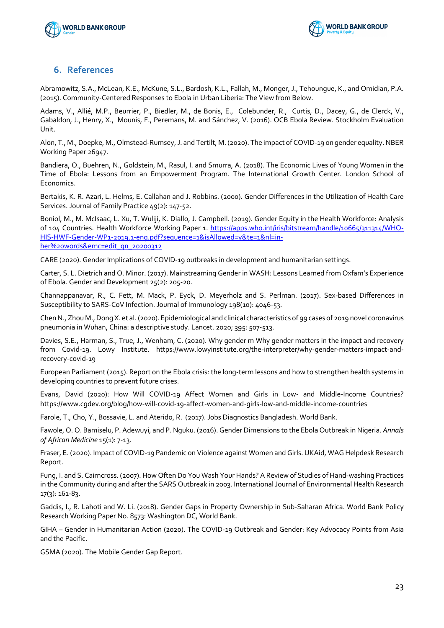



## **6. References**

Abramowitz, S.A., McLean, K.E., McKune, S.L., Bardosh, K.L., Fallah, M., Monger, J., Tehoungue, K., and Omidian, P.A. (2015). Community-Centered Responses to Ebola in Urban Liberia: The View from Below.

Adams, V., Allié, M.P., Beurrier, P., Biedler, M., de Bonis, E., Colebunder, R., Curtis, D., Dacey, G., de Clerck, V., Gabaldon, J., Henry, X., Mounis, F., Peremans, M. and Sánchez, V. (2016). OCB Ebola Review. Stockholm Evaluation Unit.

Alon, T., M., Doepke, M., Olmstead-Rumsey, J. and Tertilt, M. (2020). The impact of COVID-19 on gender equality. NBER Working Paper 26947.

Bandiera, O., Buehren, N., Goldstein, M., Rasul, I. and Smurra, A. (2018). The Economic Lives of Young Women in the Time of Ebola: Lessons from an Empowerment Program. The International Growth Center. London School of Economics.

Bertakis, K. R. Azari, L. Helms, E. Callahan and J. Robbins. (2000). Gender Differences in the Utilization of Health Care Services. Journal of Family Practice 49(2): 147-52.

Boniol, M., M. McIsaac, L. Xu, T. Wuliji, K. Diallo, J. Campbell. (2019). Gender Equity in the Health Workforce: Analysis of 104 Countries. Health Workforce Working Paper 1. https://apps.who.int/iris/bitstream/handle/10665/311314/WHO-HIS-HWF-Gender-WP1-2019.1-eng.pdf?sequence=1&isAllowed=y&te=1&nl=inher%20words&emc=edit\_gn\_20200312

CARE (2020). Gender Implications of COVID-19 outbreaks in development and humanitarian settings.

Carter, S. L. Dietrich and O. Minor. (2017). Mainstreaming Gender in WASH: Lessons Learned from Oxfam's Experience of Ebola. Gender and Development 25(2): 205-20.

Channappanavar, R., C. Fett, M. Mack, P. Eyck, D. Meyerholz and S. Perlman. (2017). Sex-based Differences in Susceptibility to SARS-CoV Infection. Journal of Immunology 198(10): 4046-53.

Chen N., Zhou M., Dong X. et al. (2020). Epidemiological and clinical characteristics of 99 cases of 2019 novel coronavirus pneumonia in Wuhan, China: a descriptive study. Lancet. 2020; 395: 507-513.

Davies, S.E., Harman, S., True, J., Wenham, C. (2020). Why gender m Why gender matters in the impact and recovery from Covid-19. Lowy Institute. https://www.lowyinstitute.org/the-interpreter/why-gender-matters-impact-andrecovery-covid-19

European Parliament (2015). Report on the Ebola crisis: the long-term lessons and how to strengthen health systems in developing countries to prevent future crises.

Evans, David (2020): How Will COVID-19 Affect Women and Girls in Low- and Middle-Income Countries? https://www.cgdev.org/blog/how-will-covid-19-affect-women-and-girls-low-and-middle-income-countries

Farole, T., Cho, Y., Bossavie, L. and Aterido, R. (2017). Jobs Diagnostics Bangladesh. World Bank.

Fawole, O. O. Bamiselu, P. Adewuyi, and P. Nguku. (2016). Gender Dimensions to the Ebola Outbreak in Nigeria. *Annals of African Medicine* 15(1): 7-13.

Fraser, E. (2020). Impact of COVID-19 Pandemic on Violence against Women and Girls. UKAid, WAG Helpdesk Research Report.

Fung, I. and S. Cairncross. (2007). How Often Do You Wash Your Hands? A Review of Studies of Hand-washing Practices in the Community during and after the SARS Outbreak in 2003. International Journal of Environmental Health Research 17(3): 161-83.

Gaddis, I., R. Lahoti and W. Li. (2018). Gender Gaps in Property Ownership in Sub-Saharan Africa. World Bank Policy Research Working Paper No. 8573: Washington DC, World Bank.

GIHA – Gender in Humanitarian Action (2020). The COVID-19 Outbreak and Gender: Key Advocacy Points from Asia and the Pacific.

GSMA (2020). The Mobile Gender Gap Report.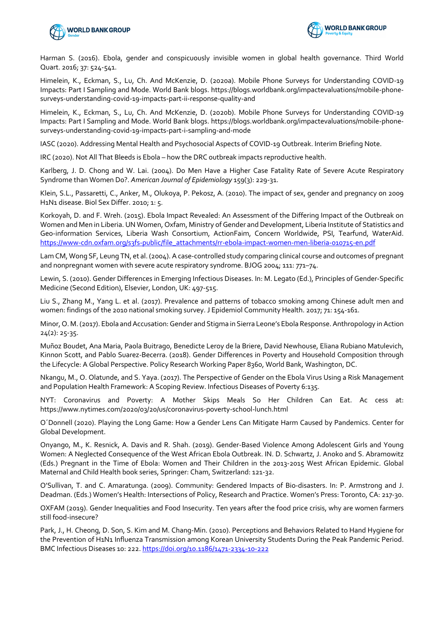



Harman S. (2016). Ebola, gender and conspicuously invisible women in global health governance. Third World Quart. 2016; 37: 524-541.

Himelein, K., Eckman, S., Lu, Ch. And McKenzie, D. (2020a). Mobile Phone Surveys for Understanding COVID-19 Impacts: Part I Sampling and Mode. World Bank blogs. https://blogs.worldbank.org/impactevaluations/mobile-phonesurveys-understanding-covid-19-impacts-part-ii-response-quality-and

Himelein, K., Eckman, S., Lu, Ch. And McKenzie, D. (2020b). Mobile Phone Surveys for Understanding COVID-19 Impacts: Part I Sampling and Mode. World Bank blogs. https://blogs.worldbank.org/impactevaluations/mobile-phonesurveys-understanding-covid-19-impacts-part-i-sampling-and-mode

IASC (2020). Addressing Mental Health and Psychosocial Aspects of COVID-19 Outbreak. Interim Briefing Note.

IRC (2020). Not All That Bleeds is Ebola – how the DRC outbreak impacts reproductive health.

Karlberg, J. D. Chong and W. Lai. (2004). Do Men Have a Higher Case Fatality Rate of Severe Acute Respiratory Syndrome than Women Do?. *American Journal of Epidemiology* 159(3): 229-31.

Klein, S.L., Passaretti, C., Anker, M., Olukoya, P. Pekosz, A. (2010). The impact of sex, gender and pregnancy on 2009 H1N1 disease. Biol Sex Differ. 2010; 1: 5.

Korkoyah, D. and F. Wreh. (2015). Ebola Impact Revealed: An Assessment of the Differing Impact of the Outbreak on Women and Men in Liberia. UN Women, Oxfam, Ministry of Gender and Development, Liberia Institute of Statistics and Geo-information Services, Liberia Wash Consortium, ActionFaim, Concern Worldwide, PSI, Tearfund, WaterAid. https://www-cdn.oxfam.org/s3fs-public/file\_attachments/rr-ebola-impact-women-men-liberia-010715-en.pdf

Lam CM, Wong SF, Leung TN, et al. (2004). A case-controlled study comparing clinical course and outcomes of pregnant and nonpregnant women with severe acute respiratory syndrome. BJOG 2004; 111: 771–74.

Lewin, S. (2010). Gender Differences in Emerging Infectious Diseases. In: M. Legato (Ed.), Principles of Gender-Specific Medicine (Second Edition), Elsevier, London, UK: 497-515.

Liu S., Zhang M., Yang L. et al. (2017). Prevalence and patterns of tobacco smoking among Chinese adult men and women: findings of the 2010 national smoking survey. J Epidemiol Community Health. 2017; 71: 154-161.

Minor, O. M. (2017). Ebola and Accusation: Gender and Stigma in Sierra Leone's Ebola Response. Anthropology in Action 24(2): 25-35.

Muñoz Boudet, Ana Maria, Paola Buitrago, Benedicte Leroy de la Briere, David Newhouse, Eliana Rubiano Matulevich, Kinnon Scott, and Pablo Suarez-Becerra. (2018). Gender Differences in Poverty and Household Composition through the Lifecycle: A Global Perspective. Policy Research Working Paper 8360, World Bank, Washington, DC.

Nkangu, M., O. Olatunde, and S. Yaya. (2017). The Perspective of Gender on the Ebola Virus Using a Risk Management and Population Health Framework: A Scoping Review. Infectious Diseases of Poverty 6:135.

NYT: Coronavirus and Poverty: A Mother Skips Meals So Her Children Can Eat. Ac cess at: https://www.nytimes.com/2020/03/20/us/coronavirus-poverty-school-lunch.html

O´Donnell (2020). Playing the Long Game: How a Gender Lens Can Mitigate Harm Caused by Pandemics. Center for Global Development.

Onyango, M., K. Resnick, A. Davis and R. Shah. (2019). Gender-Based Violence Among Adolescent Girls and Young Women: A Neglected Consequence of the West African Ebola Outbreak. IN. D. Schwartz, J. Anoko and S. Abramowitz (Eds.) Pregnant in the Time of Ebola: Women and Their Children in the 2013-2015 West African Epidemic. Global Maternal and Child Health book series, Springer: Cham, Switzerland: 121-32.

O'Sullivan, T. and C. Amaratunga. (2009). Community: Gendered Impacts of Bio-disasters. In: P. Armstrong and J. Deadman. (Eds.) Women's Health: Intersections of Policy, Research and Practice. Women's Press: Toronto, CA: 217-30.

OXFAM (2019). Gender Inequalities and Food Insecurity. Ten years after the food price crisis, why are women farmers still food-insecure?

Park, J., H. Cheong, D. Son, S. Kim and M. Chang-Min. (2010). Perceptions and Behaviors Related to Hand Hygiene for the Prevention of H1N1 Influenza Transmission among Korean University Students During the Peak Pandemic Period. BMC Infectious Diseases 10: 222. https://doi.org/10.1186/1471-2334-10-222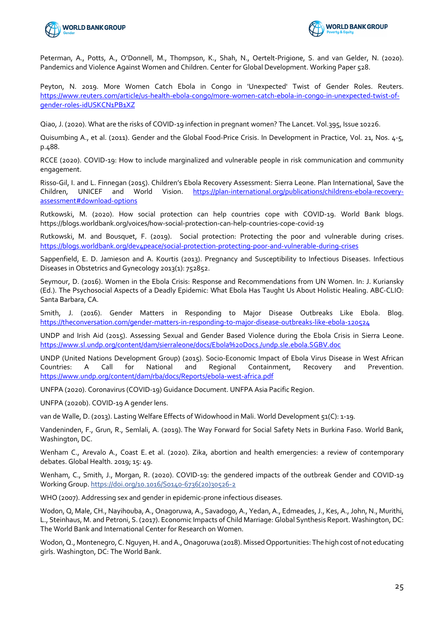



Peterman, A., Potts, A., O'Donnell, M., Thompson, K., Shah, N., Oertelt-Prigione, S. and van Gelder, N. (2020). Pandemics and Violence Against Women and Children. Center for Global Development. Working Paper 528.

Peyton, N. 2019. More Women Catch Ebola in Congo in 'Unexpected' Twist of Gender Roles. Reuters. https://www.reuters.com/article/us-health-ebola-congo/more-women-catch-ebola-in-congo-in-unexpected-twist-ofgender-roles-idUSKCN1PB1XZ

Qiao, J. (2020). What are the risks of COVID-19 infection in pregnant women? The Lancet. Vol.395, Issue 10226.

Quisumbing A., et al. (2011). Gender and the Global Food-Price Crisis. In Development in Practice, Vol. 21, Nos. 4-5, p.488.

RCCE (2020). COVID-19: How to include marginalized and vulnerable people in risk communication and community engagement.

Risso-Gil, I. and L. Finnegan (2015). Children's Ebola Recovery Assessment: Sierra Leone. Plan International, Save the Children, UNICEF and World Vision. https://plan-international.org/publications/childrens-ebola-recoveryassessment#download-options

Rutkowski, M. (2020). How social protection can help countries cope with COVID-19. World Bank blogs. https://blogs.worldbank.org/voices/how-social-protection-can-help-countries-cope-covid-19

Rutkowski, M. and Bousquet, F. (2019). Social protection: Protecting the poor and vulnerable during crises. https://blogs.worldbank.org/dev4peace/social-protection-protecting-poor-and-vulnerable-during-crises

Sappenfield, E. D. Jamieson and A. Kourtis (2013). Pregnancy and Susceptibility to Infectious Diseases. Infectious Diseases in Obstetrics and Gynecology 2013(1): 752852.

Seymour, D. (2016). Women in the Ebola Crisis: Response and Recommendations from UN Women. In: J. Kuriansky (Ed.). The Psychosocial Aspects of a Deadly Epidemic: What Ebola Has Taught Us About Holistic Healing. ABC-CLIO: Santa Barbara, CA.

Smith, J. (2016). Gender Matters in Responding to Major Disease Outbreaks Like Ebola. Blog. https://theconversation.com/gender-matters-in-responding-to-major-disease-outbreaks-like-ebola-120524

UNDP and Irish Aid (2015). Assessing Sexual and Gender Based Violence during the Ebola Crisis in Sierra Leone. https://www.sl.undp.org/content/dam/sierraleone/docs/Ebola%20Docs./undp.sle.ebola.SGBV.doc

UNDP (United Nations Development Group) (2015). Socio-Economic Impact of Ebola Virus Disease in West African Countries: A Call for National and Regional Containment, Recovery and Prevention. https://www.undp.org/content/dam/rba/docs/Reports/ebola-west-africa.pdf

UNFPA (2020). Coronavirus (COVID-19) Guidance Document. UNFPA Asia Pacific Region.

UNFPA (2020b). COVID-19 A gender lens.

van de Walle, D. (2013). Lasting Welfare Effects of Widowhood in Mali. World Development 51(C): 1-19.

Vandeninden, F., Grun, R., Semlali, A. (2019). The Way Forward for Social Safety Nets in Burkina Faso. World Bank, Washington, DC.

Wenham C., Arevalo A., Coast E. et al. (2020). Zika, abortion and health emergencies: a review of contemporary debates. Global Health. 2019; 15: 49.

Wenham, C., Smith, J., Morgan, R. (2020). COVID-19: the gendered impacts of the outbreak Gender and COVID-19 Working Group. https://doi.org/10.1016/S0140-6736(20)30526-2

WHO (2007). Addressing sex and gender in epidemic-prone infectious diseases.

Wodon, Q, Male, CH., Nayihouba, A., Onagoruwa, A., Savadogo, A., Yedan, A., Edmeades, J., Kes, A., John, N., Murithi, L., Steinhaus, M. and Petroni, S. (2017). Economic Impacts of Child Marriage: Global Synthesis Report. Washington, DC: The World Bank and International Center for Research on Women.

Wodon, Q., Montenegro, C. Nguyen, H. and A., Onagoruwa (2018). Missed Opportunities: The high cost of not educating girls. Washington, DC: The World Bank.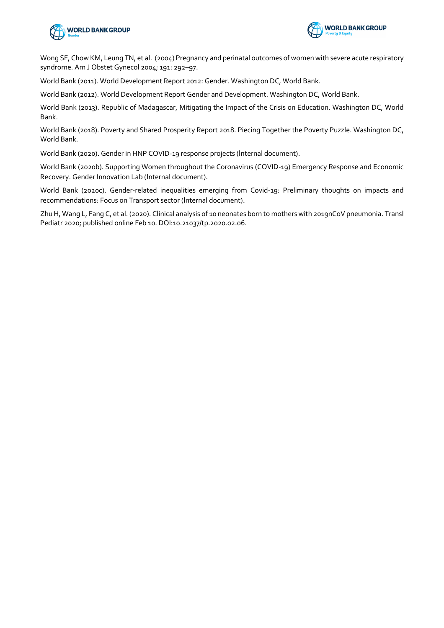



Wong SF, Chow KM, Leung TN, et al. (2004) Pregnancy and perinatal outcomes of women with severe acute respiratory syndrome. Am J Obstet Gynecol 2004; 191: 292–97.

World Bank (2011). World Development Report 2012: Gender. Washington DC, World Bank.

World Bank (2012). World Development Report Gender and Development. Washington DC, World Bank.

World Bank (2013). Republic of Madagascar, Mitigating the Impact of the Crisis on Education. Washington DC, World Bank.

World Bank (2018). Poverty and Shared Prosperity Report 2018. Piecing Together the Poverty Puzzle. Washington DC, World Bank.

World Bank (2020). Gender in HNP COVID-19 response projects (Internal document).

World Bank (2020b). Supporting Women throughout the Coronavirus (COVID-19) Emergency Response and Economic Recovery. Gender Innovation Lab (Internal document).

World Bank (2020c). Gender-related inequalities emerging from Covid-19: Preliminary thoughts on impacts and recommendations: Focus on Transport sector (Internal document).

Zhu H, Wang L, Fang C, et al. (2020). Clinical analysis of 10 neonates born to mothers with 2019nCoV pneumonia. Transl Pediatr 2020; published online Feb 10. DOI:10.21037/tp.2020.02.06.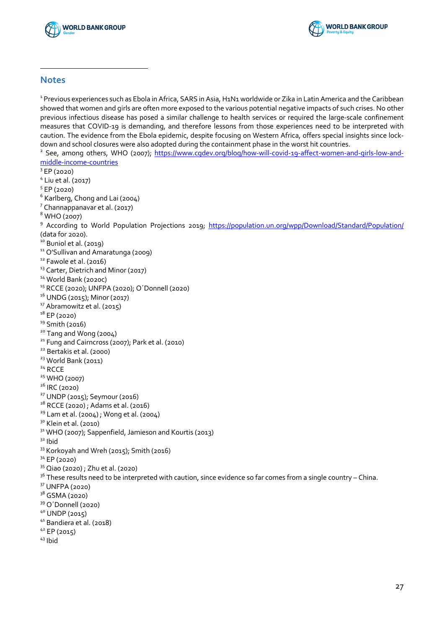



## **Notes**

<sup>1</sup> Previous experiences such as Ebola in Africa, SARS in Asia, H1N1 worldwide or Zika in Latin America and the Caribbean showed that women and girls are often more exposed to the various potential negative impacts of such crises. No other previous infectious disease has posed a similar challenge to health services or required the large-scale confinement measures that COVID-19 is demanding, and therefore lessons from those experiences need to be interpreted with caution. The evidence from the Ebola epidemic, despite focusing on Western Africa, offers special insights since lockdown and school closures were also adopted during the containment phase in the worst hit countries.

 See, among others, WHO (2007); https://www.cgdev.org/blog/how-will-covid-19-affect-women-and-girls-low-andmiddle-income-countries

- EP (2020)
- Liu et al. (2017)
- EP (2020)
- Karlberg, Chong and Lai (2004)
- Channappanavar et al. (2017)
- WHO (2007)

 According to World Population Projections 2019; https://population.un.org/wpp/Download/Standard/Population/ (data for 2020).

- Buniol et al. (2019)
- <sup>11</sup> O'Sullivan and Amaratunga (2009)
- Fawole et al. (2016)
- <sup>13</sup> Carter, Dietrich and Minor (2017)
- World Bank (2020c)
- RCCE (2020); UNFPA (2020); O´Donnell (2020)
- <sup>16</sup> UNDG (2015); Minor (2017)
- Abramowitz et al. (2015)
- EP (2020)
- Smith (2016)
- Tang and Wong (2004)
- <sup>21</sup> Fung and Cairncross (2007); Park et al. (2010)
- <sup>22</sup> Bertakis et al. (2000)
- <sup>23</sup> World Bank (2011)
- RCCE
- <sup>25</sup> WHO (2007)
- IRC (2020)
- UNDP (2015); Seymour (2016)
- <sup>28</sup> RCCE (2020) ; Adams et al. (2016)
- Lam et al. (2004); Wong et al. (2004)
- <sup>30</sup> Klein et al. (2010)
- <sup>31</sup> WHO (2007); Sappenfield, Jamieson and Kourtis (2013)
- Ibid
- 33 Korkoyah and Wreh (2015); Smith (2016)
- EP (2020)
- Qiao (2020) ; Zhu et al. (2020)
- These results need to be interpreted with caution, since evidence so far comes from a single country China.
- UNFPA (2020)
- GSMA (2020)
- O´Donnell (2020)
- UNDP (2015)
- Bandiera et al. (2018)
- EP (2015)
- Ibid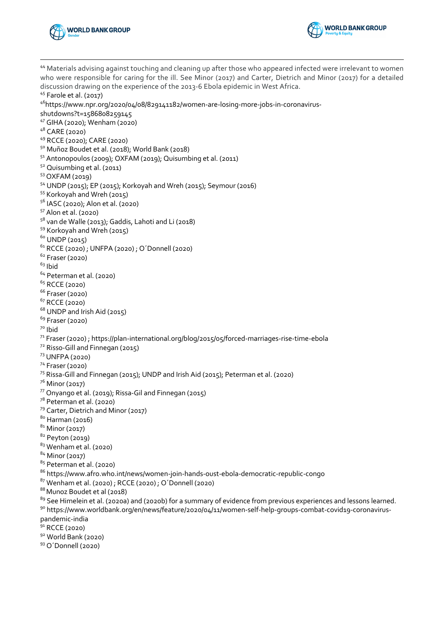



<sup>44</sup> Materials advising against touching and cleaning up after those who appeared infected were irrelevant to women who were responsible for caring for the ill. See Minor (2017) and Carter, Dietrich and Minor (2017) for a detailed discussion drawing on the experience of the 2013-6 Ebola epidemic in West Africa. Farole et al. (2017) 46https://www.npr.org/2020/04/08/829141182/women-are-losing-more-jobs-in-coronavirusshutdowns?t=1586808259145 GIHA (2020); Wenham (2020) CARE (2020) RCCE (2020); CARE (2020) Muñoz Boudet et al. (2018); World Bank (2018) <sup>51</sup> Antonopoulos (2009); OXFAM (2019); Quisumbing et al. (2011) Quisumbing et al. (2011) OXFAM (2019) UNDP (2015); EP (2015); Korkoyah and Wreh (2015); Seymour (2016) Korkoyah and Wreh (2015) IASC (2020); Alon et al. (2020) Alon et al. (2020)  $5^8$  van de Walle (2013); Gaddis, Lahoti and Li (2018) Korkoyah and Wreh (2015) UNDP (2015) RCCE (2020) ; UNFPA (2020) ; O´Donnell (2020) Fraser (2020) Ibid Peterman et al. (2020) RCCE (2020) Fraser (2020) RCCE (2020) UNDP and Irish Aid (2015) Fraser (2020) Ibid Fraser (2020); https://plan-international.org/blog/2015/05/forced-marriages-rise-time-ebola Risso-Gill and Finnegan (2015) UNFPA (2020) Fraser (2020) Rissa-Gill and Finnegan (2015); UNDP and Irish Aid (2015); Peterman et al. (2020)  $^{76}$  Minor (2017)<br> $^{77}$  Onyango et al. (2019); Rissa-Gil and Finnegan (2015)  $7^8$  Peterman et al. (2020) <sup>79</sup> Carter, Dietrich and Minor (2017) Harman (2016) Minor (2017) Peyton (2019) Wenham et al. (2020) Minor (2017) 85 Peterman et al. (2020) https://www.afro.who.int/news/women-join-hands-oust-ebola-democratic-republic-congo Wenham et al. (2020) ; RCCE (2020) ; O´Donnell (2020) 88 Munoz Boudet et al (2018) <sup>89</sup> See Himelein et al. (2020a) and (2020b) for a summary of evidence from previous experiences and lessons learned. 90 https://www.worldbank.org/en/news/feature/2020/04/11/women-self-help-groups-combat-covid19-coronaviruspandemic-india RCCE (2020) World Bank (2020) O´Donnell (2020)